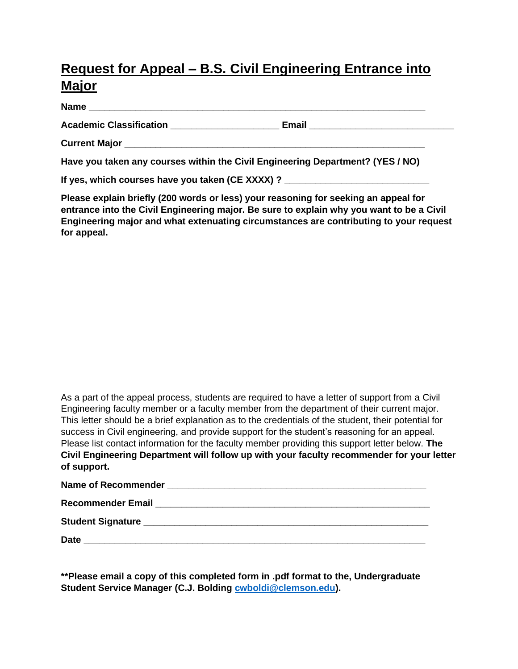## **Request for Appeal – B.S. Civil Engineering Entrance into Major**

**Name**  $\blacksquare$ 

**Academic Classification \_\_\_\_\_\_\_\_\_\_\_\_\_\_\_\_\_\_\_\_\_ Email \_\_\_\_\_\_\_\_\_\_\_\_\_\_\_\_\_\_\_\_\_\_\_\_\_\_\_\_**

**Current Major Letter** 

**Have you taken any courses within the Civil Engineering Department? (YES / NO)**

**If yes, which courses have you taken (CE XXXX) ?** 

**Please explain briefly (200 words or less) your reasoning for seeking an appeal for entrance into the Civil Engineering major. Be sure to explain why you want to be a Civil Engineering major and what extenuating circumstances are contributing to your request for appeal.**

As a part of the appeal process, students are required to have a letter of support from a Civil Engineering faculty member or a faculty member from the department of their current major. This letter should be a brief explanation as to the credentials of the student, their potential for success in Civil engineering, and provide support for the student's reasoning for an appeal. Please list contact information for the faculty member providing this support letter below. **The Civil Engineering Department will follow up with your faculty recommender for your letter of support.**

| <b>Recommender Email</b>                                            |
|---------------------------------------------------------------------|
|                                                                     |
| <b>Date</b><br><u> 1989 - Johann Stein, Amerikaansk politiker (</u> |

**\*\*Please email a copy of this completed form in .pdf format to the, Undergraduate Student Service Manager (C.J. Bolding [cwboldi@clemson.edu\)](mailto:cwboldi@clemson.edu).**